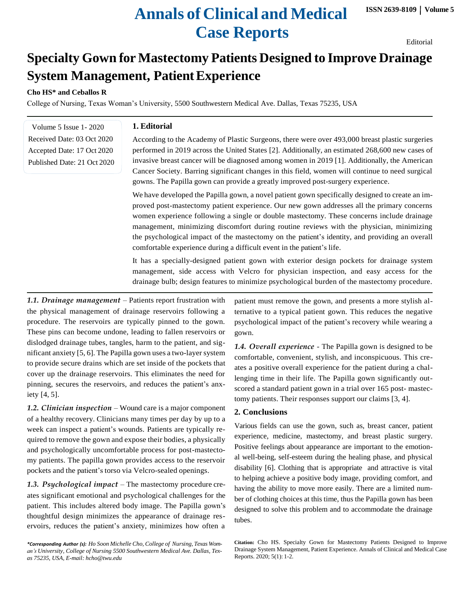# **Annals of Clinical and Medical Case Reports**

Editorial

## **Specialty Gown for Mastectomy Patients Designed to Improve Drainage System Management, PatientExperience**

**Cho HS\* and Ceballos R**

College of Nursing, Texas Woman's University, 5500 Southwestern Medical Ave. Dallas, Texas 75235, USA

Volume 5 Issue 1- 2020 Received Date: 03 Oct 2020 Accepted Date: 17 Oct 2020 Published Date: 21 Oct 2020

#### **1. Editorial**

According to the Academy of Plastic Surgeons, there were over 493,000 breast plastic surgeries performed in 2019 across the United States [2]. Additionally, an estimated 268,600 new cases of invasive breast cancer will be diagnosed among women in 2019 [1]. Additionally, the American Cancer Society. Barring significant changes in this field, women will continue to need surgical gowns. The Papilla gown can provide a greatly improved post-surgery experience.

We have developed the Papilla gown, a novel patient gown specifically designed to create an improved post-mastectomy patient experience. Our new gown addresses all the primary concerns women experience following a single or double mastectomy. These concerns include drainage management, minimizing discomfort during routine reviews with the physician, minimizing the psychological impact of the mastectomy on the patient's identity, and providing an overall comfortable experience during a difficult event in the patient's life.

It has a specially-designed patient gown with exterior design pockets for drainage system management, side access with Velcro for physician inspection, and easy access for the drainage bulb; design features to minimize psychological burden of the mastectomy procedure.

*1.1. Drainage management* – Patients report frustration with the physical management of drainage reservoirs following a procedure. The reservoirs are typically pinned to the gown. These pins can become undone, leading to fallen reservoirs or dislodged drainage tubes, tangles, harm to the patient, and significant anxiety  $[5, 6]$ . The Papilla gown uses a two-layer system to provide secure drains which are set inside of the pockets that cover up the drainage reservoirs. This eliminates the need for pinning, secures the reservoirs, and reduces the patient's anxiety [4, 5].

*1.2. Clinician inspection* – Wound care is a major component of a healthy recovery. Clinicians many times per day by up to a week can inspect a patient's wounds. Patients are typically required to remove the gown and expose their bodies, a physically and psychologically uncomfortable process for post-mastectomy patients. The papilla gown provides access to the reservoir pockets and the patient's torso via Velcro-sealed openings.

*1.3. Psychological impact* – The mastectomy procedure creates significant emotional and psychological challenges for the patient. This includes altered body image. The Papilla gown's thoughtful design minimizes the appearance of drainage reservoirs, reduces the patient's anxiety, minimizes how often a

*\*Corresponding Author (s): Ho Soon Michelle Cho, College of Nursing, Texas Woman's University, College of Nursing 5500 Southwestern Medical Ave. Dallas, Texas 75235, USA, E-mail: [hcho@twu.edu](mailto:hcho@twu.edu)*

patient must remove the gown, and presents a more stylish alternative to a typical patient gown. This reduces the negative psychological impact of the patient's recovery while wearing a gown.

*1.4. Overall experience* - The Papilla gown is designed to be comfortable, convenient, stylish, and inconspicuous. This creates a positive overall experience for the patient during a challenging time in their life. The Papilla gown significantly outscored a standard patient gown in a trial over 165 post- mastectomy patients. Their responses support our claims [3, 4].

#### **2. Conclusions**

Various fields can use the gown, such as, breast cancer, patient experience, medicine, mastectomy, and breast plastic surgery. Positive feelings about appearance are important to the emotional well-being, self-esteem during the healing phase, and physical disability [6]. Clothing that is appropriate and attractive is vital to helping achieve a positive body image, providing comfort, and having the ability to move more easily. There are a limited number of clothing choices at this time, thus the Papilla gown has been designed to solve this problem and to accommodate the drainage tubes.

**Citation:** Cho HS. Specialty Gown for Mastectomy Patients Designed to Improve Drainage System Management, Patient Experience. Annals of Clinical and Medical Case Reports. 2020; 5(1): 1-2.